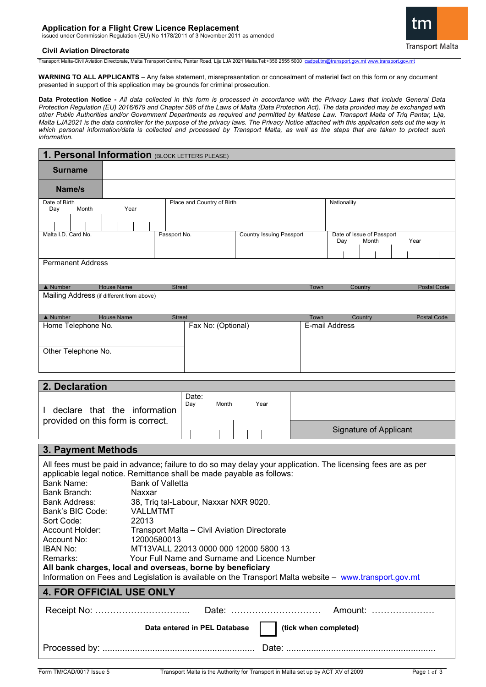# **Application for a Flight Crew Licence Replacement**

issued under Commission Regulation (EU) No 1178/2011 of 3 November 2011 as amended

## **Civil Aviation Directorate**

Transport Malta-Civil Aviation Directorate, Malta Transport Centre, Pantar Road, Lija LJA 2021 Malta.Tel:+356 2555 5000 [cadpel.tm@transport.gov.mt](mailto:cadpel.tm@transport.gov.mt) [www.transport.gov.mt](http://www.transport.gov.mt/)

**WARNING TO ALL APPLICANTS** – Any false statement, misrepresentation or concealment of material fact on this form or any document presented in support of this application may be grounds for criminal prosecution.

**Data Protection Notice -** *All data collected in this form is processed in accordance with the Privacy Laws that include General Data Protection Regulation (EU) 2016/679 and Chapter 586 of the Laws of Malta (Data Protection Act). The data provided may be exchanged with other Public Authorities and/or Government Departments as required and permitted by Maltese Law. Transport Malta of Triq Pantar, Lija, Malta LJA2021 is the data controller for the purpose of the privacy laws. The Privacy Notice attached with this application sets out the way in which personal information/data is collected and processed by Transport Malta, as well as the steps that are taken to protect such information.*

| 1. Personal Information (BLOCK LETTERS PLEASE)                                                              |                   |               |                                 |  |              |                                                   |                    |  |  |                    |                    |  |
|-------------------------------------------------------------------------------------------------------------|-------------------|---------------|---------------------------------|--|--------------|---------------------------------------------------|--------------------|--|--|--------------------|--------------------|--|
| <b>Surname</b>                                                                                              |                   |               |                                 |  |              |                                                   |                    |  |  |                    |                    |  |
| Name/s                                                                                                      |                   |               |                                 |  |              |                                                   |                    |  |  |                    |                    |  |
| Date of Birth<br>Month<br>Day                                                                               | Year              |               | Place and Country of Birth      |  |              | Nationality                                       |                    |  |  |                    |                    |  |
|                                                                                                             |                   |               |                                 |  |              |                                                   |                    |  |  |                    |                    |  |
| Malta I.D. Card No.                                                                                         |                   | Passport No.  | <b>Country Issuing Passport</b> |  |              | Date of Issue of Passport<br>Year<br>Month<br>Day |                    |  |  |                    |                    |  |
|                                                                                                             |                   |               |                                 |  |              |                                                   |                    |  |  |                    |                    |  |
| <b>Permanent Address</b>                                                                                    |                   |               |                                 |  |              |                                                   |                    |  |  |                    |                    |  |
|                                                                                                             | <b>House Name</b> | <b>Street</b> |                                 |  |              |                                                   |                    |  |  | <b>Postal Code</b> |                    |  |
|                                                                                                             |                   |               |                                 |  |              |                                                   |                    |  |  |                    |                    |  |
|                                                                                                             |                   |               |                                 |  |              |                                                   |                    |  |  |                    |                    |  |
|                                                                                                             |                   |               |                                 |  |              |                                                   |                    |  |  |                    |                    |  |
| Other Telephone No.                                                                                         |                   |               |                                 |  |              |                                                   |                    |  |  |                    |                    |  |
| $\triangle$ Number<br>Mailing Address (if different from above)<br>$\triangle$ Number<br>Home Telephone No. | <b>House Name</b> | <b>Street</b> | Fax No: (Optional)              |  | Town<br>Town | E-mail Address                                    | Country<br>Country |  |  |                    | <b>Postal Code</b> |  |

| 2. Declaration                    |              |       |      |                               |  |  |  |
|-----------------------------------|--------------|-------|------|-------------------------------|--|--|--|
| declare that the information      | Date:<br>Day | Month | Year |                               |  |  |  |
| provided on this form is correct. |              |       |      | <b>Signature of Applicant</b> |  |  |  |

# **3. Payment Methods**

| All fees must be paid in advance; failure to do so may delay your application. The licensing fees are as per<br>applicable legal notice. Remittance shall be made payable as follows:<br>Bank Name:<br>Bank of Valletta<br>Bank Branch:<br>Naxxar<br>Bank Address:<br>38, Triq tal-Labour, Naxxar NXR 9020.<br>Bank's BIC Code:<br>VALLMTMT<br>Sort Code:<br>22013<br>Account Holder:<br>Transport Malta – Civil Aviation Directorate<br>Account No:<br>12000580013<br><b>IBAN No:</b><br>MT13VALL 22013 0000 000 12000 5800 13 |                                                       |  |  |  |  |  |  |  |
|---------------------------------------------------------------------------------------------------------------------------------------------------------------------------------------------------------------------------------------------------------------------------------------------------------------------------------------------------------------------------------------------------------------------------------------------------------------------------------------------------------------------------------|-------------------------------------------------------|--|--|--|--|--|--|--|
| Remarks:                                                                                                                                                                                                                                                                                                                                                                                                                                                                                                                        | Your Full Name and Surname and Licence Number         |  |  |  |  |  |  |  |
| All bank charges, local and overseas, borne by beneficiary                                                                                                                                                                                                                                                                                                                                                                                                                                                                      |                                                       |  |  |  |  |  |  |  |
| Information on Fees and Legislation is available on the Transport Malta website - www.transport.gov.mt                                                                                                                                                                                                                                                                                                                                                                                                                          |                                                       |  |  |  |  |  |  |  |
| <b>4. FOR OFFICIAL USE ONLY</b>                                                                                                                                                                                                                                                                                                                                                                                                                                                                                                 |                                                       |  |  |  |  |  |  |  |
|                                                                                                                                                                                                                                                                                                                                                                                                                                                                                                                                 |                                                       |  |  |  |  |  |  |  |
|                                                                                                                                                                                                                                                                                                                                                                                                                                                                                                                                 | (tick when completed)<br>Data entered in PEL Database |  |  |  |  |  |  |  |
|                                                                                                                                                                                                                                                                                                                                                                                                                                                                                                                                 |                                                       |  |  |  |  |  |  |  |

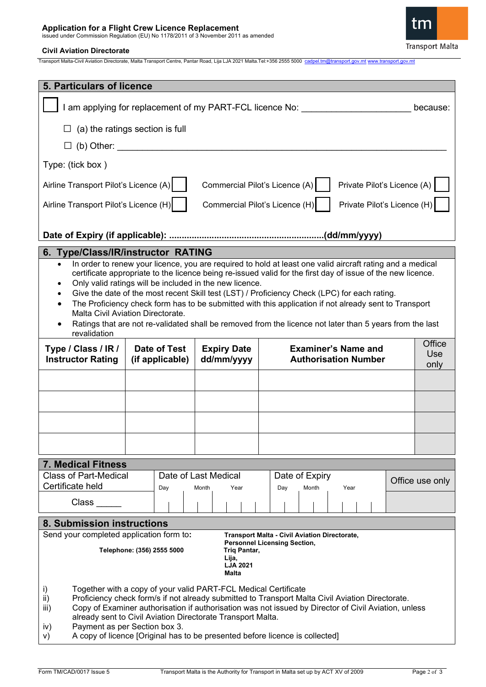**Application for a Flight Crew Licence Replacement** issued under Commission Regulation (EU) No 1178/2011 of 3 November 2011 as amended

# **Civil Aviation Directorate**

Transport Malta-Civil Aviation Directorate, Malta Transport Centre, Pantar Road, Lija LJA 2021 Malta.Tel:+356 2555 5000 [cadpel.tm@transport.gov.mt](mailto:cadpel.tm@transport.gov.mt) [www.transport.gov.mt](http://www.transport.gov.mt/)

| <b>5. Particulars of licence</b>                                                                                                                                                                                                                                                                                                                                                                                                                                                                                                                                                                                                                                           |                                 |                                  |                                                           |                              |  |  |  |  |  |
|----------------------------------------------------------------------------------------------------------------------------------------------------------------------------------------------------------------------------------------------------------------------------------------------------------------------------------------------------------------------------------------------------------------------------------------------------------------------------------------------------------------------------------------------------------------------------------------------------------------------------------------------------------------------------|---------------------------------|----------------------------------|-----------------------------------------------------------|------------------------------|--|--|--|--|--|
|                                                                                                                                                                                                                                                                                                                                                                                                                                                                                                                                                                                                                                                                            |                                 |                                  | I am applying for replacement of my PART-FCL licence No:  | because:                     |  |  |  |  |  |
| (a) the ratings section is full                                                                                                                                                                                                                                                                                                                                                                                                                                                                                                                                                                                                                                            |                                 |                                  |                                                           |                              |  |  |  |  |  |
| (b) Other:                                                                                                                                                                                                                                                                                                                                                                                                                                                                                                                                                                                                                                                                 |                                 |                                  |                                                           |                              |  |  |  |  |  |
| Type: (tick box)                                                                                                                                                                                                                                                                                                                                                                                                                                                                                                                                                                                                                                                           |                                 |                                  |                                                           |                              |  |  |  |  |  |
| Commercial Pilot's Licence (A)<br>Private Pilot's Licence (A)<br>Airline Transport Pilot's Licence (A)                                                                                                                                                                                                                                                                                                                                                                                                                                                                                                                                                                     |                                 |                                  |                                                           |                              |  |  |  |  |  |
| Airline Transport Pilot's Licence (H)<br>Commercial Pilot's Licence (H)<br>Private Pilot's Licence (H)                                                                                                                                                                                                                                                                                                                                                                                                                                                                                                                                                                     |                                 |                                  |                                                           |                              |  |  |  |  |  |
|                                                                                                                                                                                                                                                                                                                                                                                                                                                                                                                                                                                                                                                                            |                                 |                                  |                                                           |                              |  |  |  |  |  |
| 6. Type/Class/IR/instructor RATING                                                                                                                                                                                                                                                                                                                                                                                                                                                                                                                                                                                                                                         |                                 |                                  |                                                           |                              |  |  |  |  |  |
| In order to renew your licence, you are required to hold at least one valid aircraft rating and a medical<br>$\bullet$<br>certificate appropriate to the licence being re-issued valid for the first day of issue of the new licence.<br>Only valid ratings will be included in the new licence.<br>Give the date of the most recent Skill test (LST) / Proficiency Check (LPC) for each rating.<br>The Proficiency check form has to be submitted with this application if not already sent to Transport<br>Malta Civil Aviation Directorate.<br>Ratings that are not re-validated shall be removed from the licence not later than 5 years from the last<br>revalidation |                                 |                                  |                                                           |                              |  |  |  |  |  |
| Type / Class / IR /<br><b>Instructor Rating</b>                                                                                                                                                                                                                                                                                                                                                                                                                                                                                                                                                                                                                            | Date of Test<br>(if applicable) | <b>Expiry Date</b><br>dd/mm/yyyy | <b>Examiner's Name and</b><br><b>Authorisation Number</b> | Office<br><b>Use</b><br>only |  |  |  |  |  |
|                                                                                                                                                                                                                                                                                                                                                                                                                                                                                                                                                                                                                                                                            |                                 |                                  |                                                           |                              |  |  |  |  |  |
|                                                                                                                                                                                                                                                                                                                                                                                                                                                                                                                                                                                                                                                                            |                                 |                                  |                                                           |                              |  |  |  |  |  |
|                                                                                                                                                                                                                                                                                                                                                                                                                                                                                                                                                                                                                                                                            |                                 |                                  |                                                           |                              |  |  |  |  |  |
|                                                                                                                                                                                                                                                                                                                                                                                                                                                                                                                                                                                                                                                                            |                                 |                                  |                                                           |                              |  |  |  |  |  |
|                                                                                                                                                                                                                                                                                                                                                                                                                                                                                                                                                                                                                                                                            |                                 |                                  |                                                           |                              |  |  |  |  |  |
| <b>7. Medical Fitness</b><br><b>Class of Part-Medical</b>                                                                                                                                                                                                                                                                                                                                                                                                                                                                                                                                                                                                                  |                                 | Date of Last Medical             | Date of Expiry                                            |                              |  |  |  |  |  |
| Certificate held                                                                                                                                                                                                                                                                                                                                                                                                                                                                                                                                                                                                                                                           | Day                             | Month<br>Year                    | Day<br>Month<br>Year                                      | Office use only              |  |  |  |  |  |
| $Class$ <sub><math>\_\_</math></sub>                                                                                                                                                                                                                                                                                                                                                                                                                                                                                                                                                                                                                                       |                                 |                                  |                                                           |                              |  |  |  |  |  |
| 8. Submission instructions                                                                                                                                                                                                                                                                                                                                                                                                                                                                                                                                                                                                                                                 |                                 |                                  |                                                           |                              |  |  |  |  |  |
| Send your completed application form to:<br><b>Transport Malta - Civil Aviation Directorate,</b><br><b>Personnel Licensing Section,</b><br>Telephone: (356) 2555 5000<br>Triq Pantar,<br>Lija,<br><b>LJA 2021</b><br>Malta                                                                                                                                                                                                                                                                                                                                                                                                                                                 |                                 |                                  |                                                           |                              |  |  |  |  |  |
| i)<br>Together with a copy of your valid PART-FCL Medical Certificate<br>ii)<br>Proficiency check form/s if not already submitted to Transport Malta Civil Aviation Directorate.<br>Copy of Examiner authorisation if authorisation was not issued by Director of Civil Aviation, unless<br>iii)<br>already sent to Civil Aviation Directorate Transport Malta.<br>Payment as per Section box 3.<br>iv)<br>A copy of licence [Original has to be presented before licence is collected]<br>V)                                                                                                                                                                              |                                 |                                  |                                                           |                              |  |  |  |  |  |